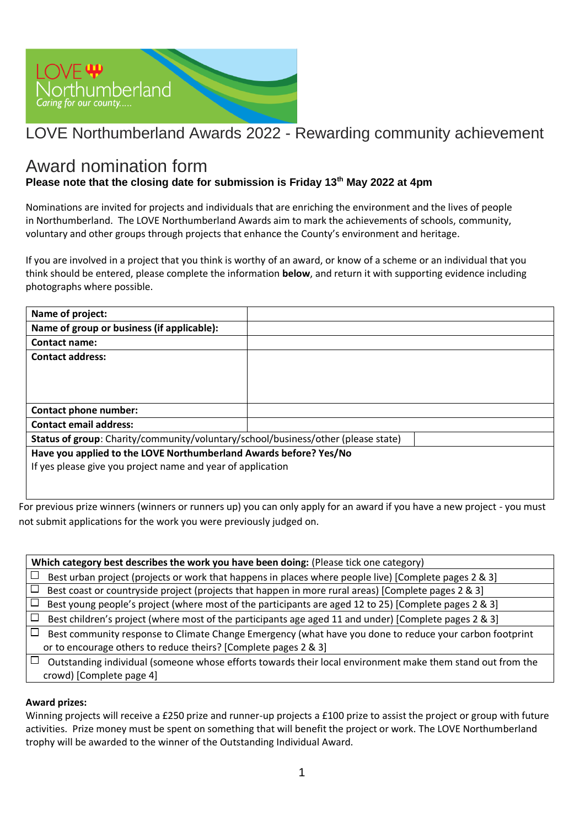

# LOVE Northumberland Awards 2022 - Rewarding community achievement

## Award nomination form

### **Please note that the closing date for submission is Friday 13th May 2022 at 4pm**

Nominations are invited for projects and individuals that are enriching the environment and the lives of people in Northumberland. The LOVE Northumberland Awards aim to mark the achievements of schools, community, voluntary and other groups through projects that enhance the County's environment and heritage.

If you are involved in a project that you think is worthy of an award, or know of a scheme or an individual that you think should be entered, please complete the information **below**, and return it with supporting evidence including photographs where possible.

| Name of project:                                                                  |  |  |
|-----------------------------------------------------------------------------------|--|--|
| Name of group or business (if applicable):                                        |  |  |
| <b>Contact name:</b>                                                              |  |  |
| <b>Contact address:</b>                                                           |  |  |
|                                                                                   |  |  |
|                                                                                   |  |  |
|                                                                                   |  |  |
| Contact phone number:                                                             |  |  |
| <b>Contact email address:</b>                                                     |  |  |
| Status of group: Charity/community/voluntary/school/business/other (please state) |  |  |
| Have you applied to the LOVE Northumberland Awards before? Yes/No                 |  |  |
| If yes please give you project name and year of application                       |  |  |
|                                                                                   |  |  |
|                                                                                   |  |  |

For previous prize winners (winners or runners up) you can only apply for an award if you have a new project - you must not submit applications for the work you were previously judged on.

**Which category best describes the work you have been doing:** (Please tick one category)  $\Box$ Best urban project (projects or work that happens in places where people live) [Complete pages 2 & 3]  $\Box$  Best coast or countryside project (projects that happen in more rural areas) [Complete pages 2 & 3]  $\Box$  Best young people's project (where most of the participants are aged 12 to 25) [Complete pages 2 & 3]  $\Box$ Best children's project (where most of the participants age aged 11 and under) [Complete pages 2 & 3]  $\Box$  Best community response to Climate Change Emergency (what have you done to reduce your carbon footprint or to encourage others to reduce theirs? [Complete pages 2 & 3]  $\Box$  Outstanding individual (someone whose efforts towards their local environment make them stand out from the crowd) [Complete page 4]

#### **Award prizes:**

Winning projects will receive a £250 prize and runner-up projects a £100 prize to assist the project or group with future activities. Prize money must be spent on something that will benefit the project or work. The LOVE Northumberland trophy will be awarded to the winner of the Outstanding Individual Award.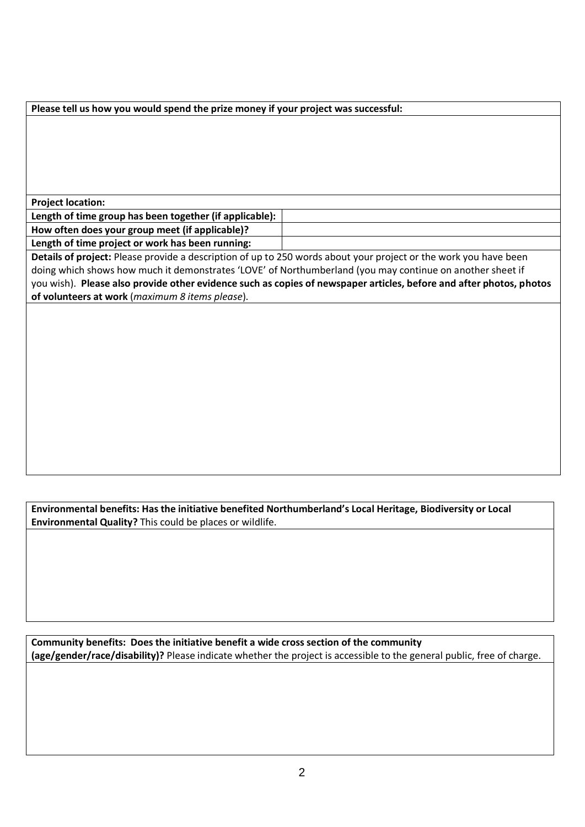| Please tell us how you would spend the prize money if your project was successful:                                  |  |  |
|---------------------------------------------------------------------------------------------------------------------|--|--|
|                                                                                                                     |  |  |
|                                                                                                                     |  |  |
|                                                                                                                     |  |  |
|                                                                                                                     |  |  |
|                                                                                                                     |  |  |
|                                                                                                                     |  |  |
| <b>Project location:</b>                                                                                            |  |  |
| Length of time group has been together (if applicable):                                                             |  |  |
| How often does your group meet (if applicable)?                                                                     |  |  |
| Length of time project or work has been running:                                                                    |  |  |
| Details of project: Please provide a description of up to 250 words about your project or the work you have been    |  |  |
| doing which shows how much it demonstrates 'LOVE' of Northumberland (you may continue on another sheet if           |  |  |
| you wish). Please also provide other evidence such as copies of newspaper articles, before and after photos, photos |  |  |
| of volunteers at work (maximum 8 items please).                                                                     |  |  |
|                                                                                                                     |  |  |
|                                                                                                                     |  |  |
|                                                                                                                     |  |  |
|                                                                                                                     |  |  |
|                                                                                                                     |  |  |
|                                                                                                                     |  |  |
|                                                                                                                     |  |  |
|                                                                                                                     |  |  |
|                                                                                                                     |  |  |
|                                                                                                                     |  |  |
|                                                                                                                     |  |  |
|                                                                                                                     |  |  |
|                                                                                                                     |  |  |

**Environmental benefits: Has the initiative benefited Northumberland's Local Heritage, Biodiversity or Local Environmental Quality?** This could be places or wildlife.

**Community benefits: Does the initiative benefit a wide cross section of the community (age/gender/race/disability)?** Please indicate whether the project is accessible to the general public, free of charge.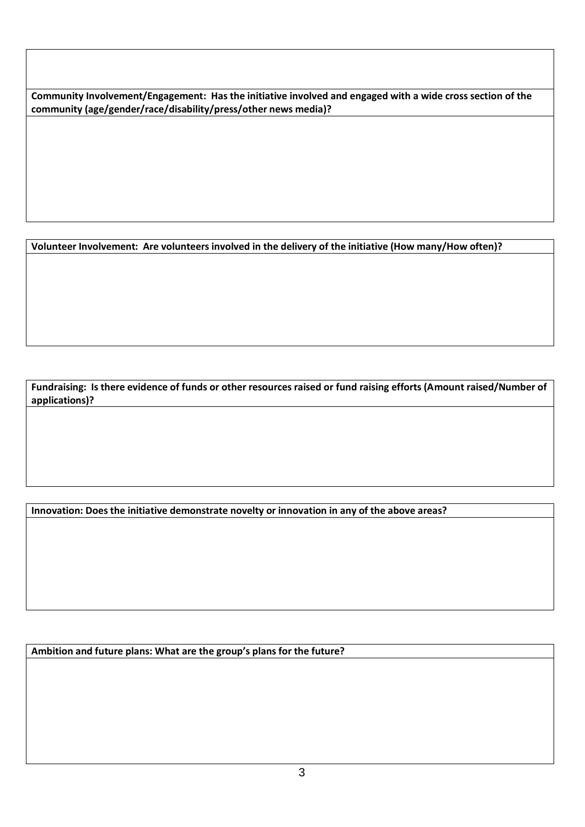**Community Involvement/Engagement: Has the initiative involved and engaged with a wide cross section of the community (age/gender/race/disability/press/other news media)?**

**Volunteer Involvement: Are volunteers involved in the delivery of the initiative (How many/How often)?**

**Fundraising: Is there evidence of funds or other resources raised or fund raising efforts (Amount raised/Number of applications)?** 

**Innovation: Does the initiative demonstrate novelty or innovation in any of the above areas?**

**Ambition and future plans: What are the group's plans for the future?**